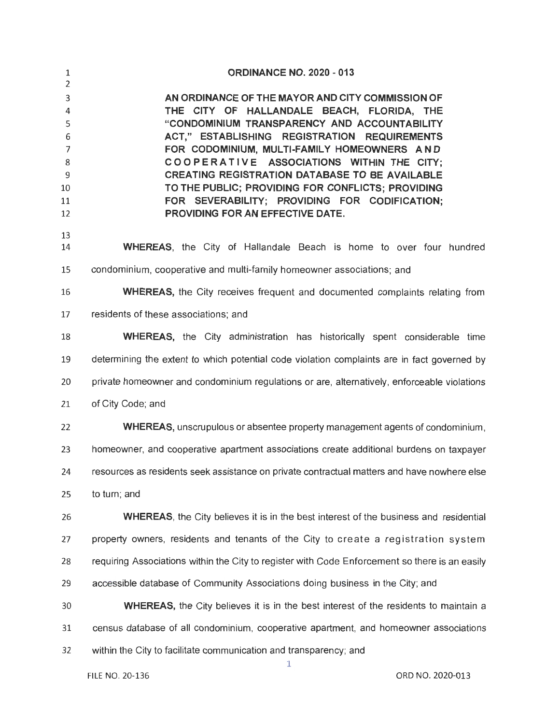| $\mathbf{1}$<br>2                                 | <b>ORDINANCE NO. 2020 - 013</b>                                                                                                                                                                                                                                                                                                                                                                                                                                                               |
|---------------------------------------------------|-----------------------------------------------------------------------------------------------------------------------------------------------------------------------------------------------------------------------------------------------------------------------------------------------------------------------------------------------------------------------------------------------------------------------------------------------------------------------------------------------|
| 3<br>4<br>5<br>6<br>7<br>8<br>9<br>10<br>11<br>12 | AN ORDINANCE OF THE MAYOR AND CITY COMMISSION OF<br>THE CITY OF HALLANDALE BEACH, FLORIDA, THE<br>"CONDOMINIUM TRANSPARENCY AND ACCOUNTABILITY<br>ACT," ESTABLISHING REGISTRATION REQUIREMENTS<br>FOR CODOMINIUM, MULTI-FAMILY HOMEOWNERS AND<br>COOPERATIVE ASSOCIATIONS WITHIN THE CITY;<br><b>CREATING REGISTRATION DATABASE TO BE AVAILABLE</b><br>TO THE PUBLIC; PROVIDING FOR CONFLICTS; PROVIDING<br>FOR SEVERABILITY; PROVIDING FOR CODIFICATION;<br>PROVIDING FOR AN EFFECTIVE DATE. |
| 13<br>14                                          | <b>WHEREAS</b> , the City of Hallandale Beach is home to over four hundred                                                                                                                                                                                                                                                                                                                                                                                                                    |
| 15                                                | condominium, cooperative and multi-family homeowner associations; and                                                                                                                                                                                                                                                                                                                                                                                                                         |
| 16                                                | <b>WHEREAS</b> , the City receives frequent and documented complaints relating from                                                                                                                                                                                                                                                                                                                                                                                                           |
| 17                                                | residents of these associations; and                                                                                                                                                                                                                                                                                                                                                                                                                                                          |
| 18                                                | <b>WHEREAS</b> , the City administration has historically spent considerable time                                                                                                                                                                                                                                                                                                                                                                                                             |
| 19                                                | determining the extent to which potential code violation complaints are in fact governed by                                                                                                                                                                                                                                                                                                                                                                                                   |
| 20                                                | private homeowner and condominium regulations or are, alternatively, enforceable violations                                                                                                                                                                                                                                                                                                                                                                                                   |
| 21                                                | of City Code; and                                                                                                                                                                                                                                                                                                                                                                                                                                                                             |
| 22                                                | WHEREAS, unscrupulous or absentee property management agents of condominium,                                                                                                                                                                                                                                                                                                                                                                                                                  |
| 23                                                | homeowner, and cooperative apartment associations create additional burdens on taxpayer                                                                                                                                                                                                                                                                                                                                                                                                       |
| 24                                                | resources as residents seek assistance on private contractual matters and have nowhere else                                                                                                                                                                                                                                                                                                                                                                                                   |
| 25                                                | to turn; and                                                                                                                                                                                                                                                                                                                                                                                                                                                                                  |
| 26                                                | <b>WHEREAS</b> , the City believes it is in the best interest of the business and residential                                                                                                                                                                                                                                                                                                                                                                                                 |
| 27                                                | property owners, residents and tenants of the City to create a registration system                                                                                                                                                                                                                                                                                                                                                                                                            |
| 28                                                | requiring Associations within the City to register with Code Enforcement so there is an easily                                                                                                                                                                                                                                                                                                                                                                                                |
| 29                                                | accessible database of Community Associations doing business in the City; and                                                                                                                                                                                                                                                                                                                                                                                                                 |
| 30                                                | <b>WHEREAS</b> , the City believes it is in the best interest of the residents to maintain a                                                                                                                                                                                                                                                                                                                                                                                                  |
| 31                                                | census database of all condominium, cooperative apartment, and homeowner associations                                                                                                                                                                                                                                                                                                                                                                                                         |
| 32                                                | within the City to facilitate communication and transparency; and<br>1                                                                                                                                                                                                                                                                                                                                                                                                                        |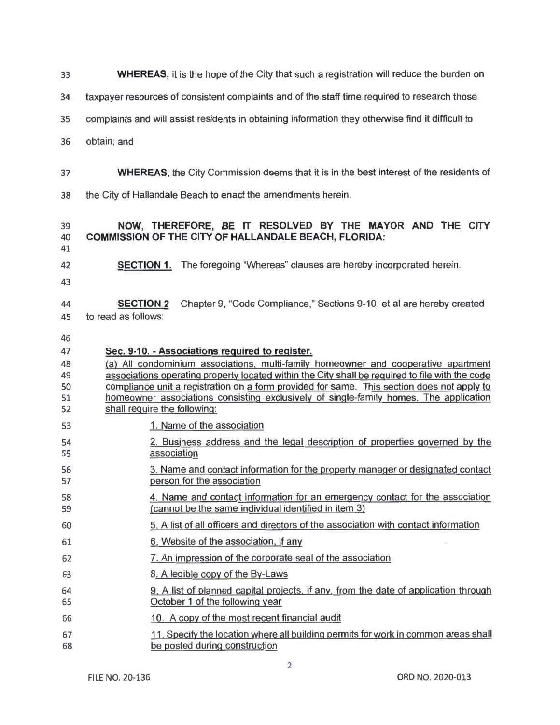**WHEREAS,** it is the hope of the City that such a registration will reduce the burden on

taxpayer resources of consistent complaints and of the staff time required to research those

- complaints and will assist residents in obtaining information they otherwise find it difficult to
- obtain; and
- **WHEREAS,** the City Commission deems that it is in the best interest of the residents of
- the City of Hallandale Beach to enact the amendments herein.

#### **NOW, THEREFORE, BE IT RESOLVED BY THE MAYOR AND THE CITY COMMISSION OF THE CITY OF HALLANDALE BEACH, FLORIDA:**

- 
- 
- **SECTION 1.** The foregoing "Whereas" clauses are hereby incorporated herein.
- 
- **SECTION 2** Chapter 9, "Code Compliance," Sections 9-10, et al are hereby created to read as follows:
- 
- **Sec. 9-10. -Associations required to register.** (a) All condominium associations, multi-family homeowner and cooperative apartment associations operating property located within the City shall be required to file with the code so compliance unit a registration on a form provided for same. This section does not apply to homeowner associations consisting exclusively of single-family homes. The application 52 shall require the following: 53 1. Name of the association 2. Business address and the legal description of properties governed by the 55 association 3. Name and contact information for the property manager or designated contact person for the association 4. Name and contact information for an emergency contact for the association (cannot be the same individual identified in item 3) 5. A list of all officers and directors of the association with contact information 6. Website of the association, if any 7. An impression of the corporate seal of the association 8. A legible copy of the By-Laws 9, A list of planned capital projects, if any, from the date of application through October 1 of the following year 10. A copy of the most recent financial audit 11 . Specify the location where all building permits for work in common areas shall be posted during construction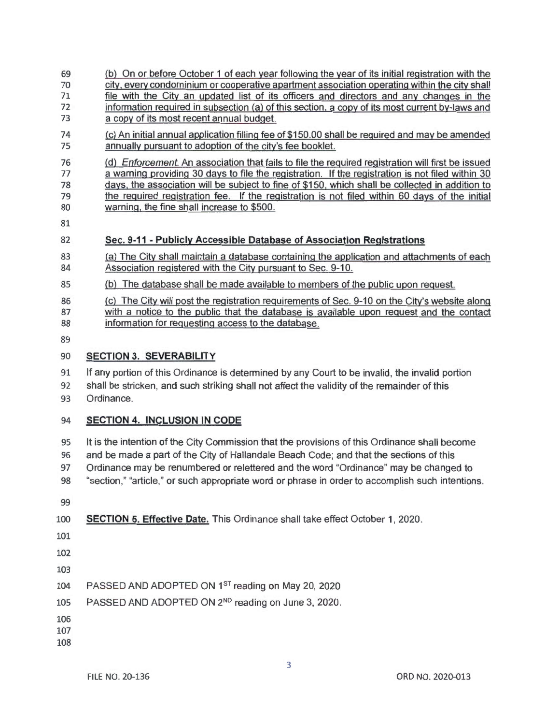#### (b) On or before October 1 of each year following the year of its initial registration with the 70 city, every condominium or cooperative apartment association operating within the city shall<br>71 file with the City an updated list of its officers and directors and any changes in the file with the City an updated list of its officers and directors and any changes in the

- information required in subsection (a) of this section, a copy of its most current by-laws and a copy of its most recent annual budget.
- (c) An initial annual application filling fee of \$150.00 shall be required and may be amended annually pursuant to adoption of the city's fee booklet.

 (d) Enforcement. An association that fails to file the required registration will first be issued a warning providing 30 days to file the registration. If the registration is not filed within 30 days. the association will be subject to fine of \$150, which shall be collected in addition to the required registration fee. If the registration is not filed within 60 days of the initial 80 warning, the fine shall increase to \$500.

## **Sec. 9-11 - Publicly Accessible Database of Association Registrations**

- (a) The City shall maintain a database containing the application and attachments of each Association registered with the City pursuant to Sec. 9-10.
- (b) The database shall be made available to members of the public upon request.
- (c) The City will post the registration requirements of Sec. 9-10 on the City's website along
- with a notice to the public that the database is available upon request and the contact information for requesting access to the database.
- 

## **SECTION 3. SEVERABILITY**

- If any portion of this Ordinance is determined by any Court to be invalid, the invalid portion
- shall be stricken, and such striking shall not affect the validity of the remainder of this
- Ordinance.

# **SECTION 4. INCLUSION IN CODE**

- It is the intention of the City Commission that the provisions of this Ordinance shall become
- and be made a part of the City of Hallandale Beach Code; and that the sections of this
- Ordinance may be renumbered or relettered and the word "Ordinance" may be changed to
- "section," "article," or such appropriate word or phrase in order to accomplish such intentions.
- 

# **SECTION 5. Effective Date.** This Ordinance shall take effect October 1, 2020.

- 
- 
- 

104 PASSED AND ADOPTED ON 1<sup>ST</sup> reading on May 20, 2020

- 105 PASSED AND ADOPTED ON 2<sup>ND</sup> reading on June 3, 2020.
- 
- 
-